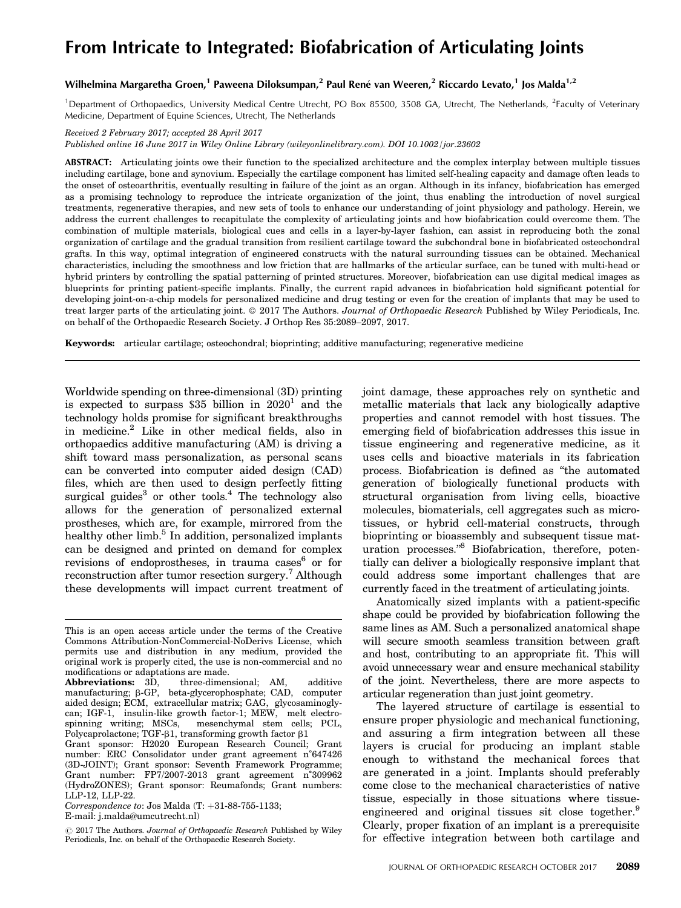# From Intricate to Integrated: Biofabrication of Articulating Joints

# Wilhelmina Margaretha Groen,<sup>1</sup> Paweena Diloksumpan,<sup>2</sup> Paul René van Weeren,<sup>2</sup> Riccardo Levato,<sup>1</sup> Jos Malda<sup>1,2</sup>

<sup>1</sup>Department of Orthopaedics, University Medical Centre Utrecht, PO Box 85500, 3508 GA, Utrecht, The Netherlands, <sup>2</sup>Faculty of Veterinary Medicine, Department of Equine Sciences, Utrecht, The Netherlands

Received 2 February 2017; accepted 28 April 2017

Published online 16 June 2017 in Wiley Online Library (wileyonlinelibrary.com). DOI 10.1002/jor.23602

ABSTRACT: Articulating joints owe their function to the specialized architecture and the complex interplay between multiple tissues including cartilage, bone and synovium. Especially the cartilage component has limited self-healing capacity and damage often leads to the onset of osteoarthritis, eventually resulting in failure of the joint as an organ. Although in its infancy, biofabrication has emerged as a promising technology to reproduce the intricate organization of the joint, thus enabling the introduction of novel surgical treatments, regenerative therapies, and new sets of tools to enhance our understanding of joint physiology and pathology. Herein, we address the current challenges to recapitulate the complexity of articulating joints and how biofabrication could overcome them. The combination of multiple materials, biological cues and cells in a layer-by-layer fashion, can assist in reproducing both the zonal organization of cartilage and the gradual transition from resilient cartilage toward the subchondral bone in biofabricated osteochondral grafts. In this way, optimal integration of engineered constructs with the natural surrounding tissues can be obtained. Mechanical characteristics, including the smoothness and low friction that are hallmarks of the articular surface, can be tuned with multi-head or hybrid printers by controlling the spatial patterning of printed structures. Moreover, biofabrication can use digital medical images as blueprints for printing patient-specific implants. Finally, the current rapid advances in biofabrication hold significant potential for developing joint-on-a-chip models for personalized medicine and drug testing or even for the creation of implants that may be used to treat larger parts of the articulating joint.  $\odot$  2017 The Authors. Journal of Orthopaedic Research Published by Wiley Periodicals, Inc. on behalf of the Orthopaedic Research Society. J Orthop Res 35:2089–2097, 2017.

Keywords: articular cartilage; osteochondral; bioprinting; additive manufacturing; regenerative medicine

Worldwide spending on three-dimensional (3D) printing is expected to surpass  $$35$  billion in  $2020<sup>1</sup>$  and the technology holds promise for significant breakthroughs in medicine.2 Like in other medical fields, also in orthopaedics additive manufacturing (AM) is driving a shift toward mass personalization, as personal scans can be converted into computer aided design (CAD) files, which are then used to design perfectly fitting surgical guides<sup>3</sup> or other tools.<sup>4</sup> The technology also allows for the generation of personalized external prostheses, which are, for example, mirrored from the healthy other limb. $5$  In addition, personalized implants can be designed and printed on demand for complex revisions of endoprostheses, in trauma cases  $6$  or for reconstruction after tumor resection surgery.<sup>7</sup> Although these developments will impact current treatment of joint damage, these approaches rely on synthetic and metallic materials that lack any biologically adaptive properties and cannot remodel with host tissues. The emerging field of biofabrication addresses this issue in tissue engineering and regenerative medicine, as it uses cells and bioactive materials in its fabrication process. Biofabrication is defined as "the automated generation of biologically functional products with structural organisation from living cells, bioactive molecules, biomaterials, cell aggregates such as microtissues, or hybrid cell-material constructs, through bioprinting or bioassembly and subsequent tissue maturation processes."8 Biofabrication, therefore, potentially can deliver a biologically responsive implant that could address some important challenges that are currently faced in the treatment of articulating joints.

Anatomically sized implants with a patient-specific shape could be provided by biofabrication following the same lines as AM. Such a personalized anatomical shape will secure smooth seamless transition between graft and host, contributing to an appropriate fit. This will avoid unnecessary wear and ensure mechanical stability of the joint. Nevertheless, there are more aspects to articular regeneration than just joint geometry.

The layered structure of cartilage is essential to ensure proper physiologic and mechanical functioning, and assuring a firm integration between all these layers is crucial for producing an implant stable enough to withstand the mechanical forces that are generated in a joint. Implants should preferably come close to the mechanical characteristics of native tissue, especially in those situations where tissueengineered and original tissues sit close together.<sup>9</sup> Clearly, proper fixation of an implant is a prerequisite for effective integration between both cartilage and

This is an open access article under the terms of the [Creative](http://creativecommons.org/licenses/by-nc-nd/4.0/) [Commons Attribution-NonCommercial-NoDerivs](http://creativecommons.org/licenses/by-nc-nd/4.0/) License, which permits use and distribution in any medium, provided the original work is properly cited, the use is non-commercial and no modifications or adaptations are made.

Abbreviations: 3D, three-dimensional; AM, additive manufacturing; b-GP, beta-glycerophosphate; CAD, computer aided design; ECM, extracellular matrix; GAG, glycosaminoglycan; IGF-1, insulin-like growth factor-1; MEW, melt electrospinning writing; MSCs, mesenchymal stem cells; PCL, Polycaprolactone; TGF- $\beta1$ , transforming growth factor  $\beta1$ Grant sponsor: H2020 European Research Council; Grant number: ERC Consolidator under grant agreement n˚647426 (3D-JOINT); Grant sponsor: Seventh Framework Programme; Grant number: FP7/2007-2013 grant agreement n˚309962 (HydroZONES); Grant sponsor: Reumafonds; Grant numbers: LLP-12, LLP-22.

 $Correspondence to: Jos Malda (T: +31-88-755-1133;$ E-mail: j.malda@umcutrecht.nl)

 $\odot$  2017 The Authors. Journal of Orthopaedic Research Published by Wiley Periodicals, Inc. on behalf of the Orthopaedic Research Society.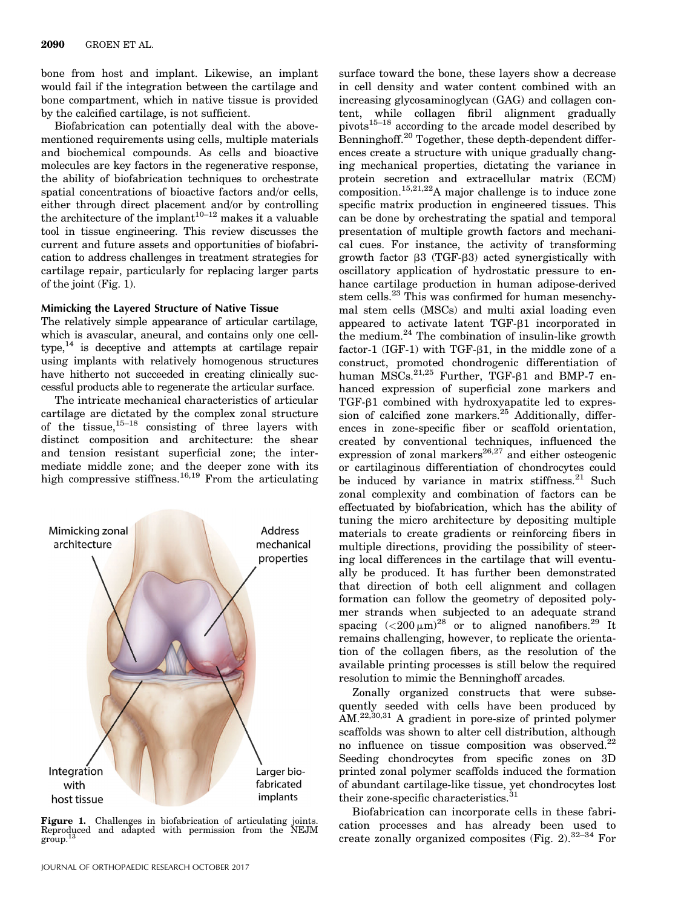bone from host and implant. Likewise, an implant would fail if the integration between the cartilage and bone compartment, which in native tissue is provided by the calcified cartilage, is not sufficient.

Biofabrication can potentially deal with the abovementioned requirements using cells, multiple materials and biochemical compounds. As cells and bioactive molecules are key factors in the regenerative response, the ability of biofabrication techniques to orchestrate spatial concentrations of bioactive factors and/or cells, either through direct placement and/or by controlling the architecture of the implant<sup>10–12</sup> makes it a valuable tool in tissue engineering. This review discusses the current and future assets and opportunities of biofabrication to address challenges in treatment strategies for cartilage repair, particularly for replacing larger parts of the joint (Fig. 1).

#### Mimicking the Layered Structure of Native Tissue

The relatively simple appearance of articular cartilage, which is avascular, aneural, and contains only one cell $type<sub>14</sub>$  is deceptive and attempts at cartilage repair using implants with relatively homogenous structures have hitherto not succeeded in creating clinically successful products able to regenerate the articular surface.

The intricate mechanical characteristics of articular cartilage are dictated by the complex zonal structure of the tissue,  $15-18$  consisting of three layers with distinct composition and architecture: the shear and tension resistant superficial zone; the intermediate middle zone; and the deeper zone with its high compressive stiffness.<sup>16,19</sup> From the articulating



**Figure 1.** Challenges in biofabrication of articulating joints.<br>Reproduced and adapted with permission from the NEJM<br>group.<sup>13</sup>

tent, while collagen fibril alignment gradually  $pivots^{15-18}$  according to the arcade model described by Benninghoff.<sup>20</sup> Together, these depth-dependent differences create a structure with unique gradually changing mechanical properties, dictating the variance in protein secretion and extracellular matrix (ECM) composition.<sup>15,21,22</sup>A major challenge is to induce zone specific matrix production in engineered tissues. This can be done by orchestrating the spatial and temporal presentation of multiple growth factors and mechanical cues. For instance, the activity of transforming growth factor  $\beta$ 3 (TGF- $\beta$ 3) acted synergistically with oscillatory application of hydrostatic pressure to enhance cartilage production in human adipose-derived stem cells.<sup>23</sup> This was confirmed for human mesenchymal stem cells (MSCs) and multi axial loading even appeared to activate latent TGF-b1 incorporated in the medium.<sup>24</sup> The combination of insulin-like growth factor-1 (IGF-1) with TGF- $\beta$ 1, in the middle zone of a construct, promoted chondrogenic differentiation of human  $\overline{\text{MSCs}}^{21,25}$  Further, TGF- $\beta1$  and BMP-7 enhanced expression of superficial zone markers and  $TGF- $\beta$ 1 combined with hydroxyapatite led to express$ sion of calcified zone markers. $25$  Additionally, differences in zone-specific fiber or scaffold orientation, created by conventional techniques, influenced the expression of zonal markers<sup>26,27</sup> and either osteogenic or cartilaginous differentiation of chondrocytes could be induced by variance in matrix stiffness. $21$  Such zonal complexity and combination of factors can be effectuated by biofabrication, which has the ability of tuning the micro architecture by depositing multiple materials to create gradients or reinforcing fibers in multiple directions, providing the possibility of steering local differences in the cartilage that will eventually be produced. It has further been demonstrated that direction of both cell alignment and collagen formation can follow the geometry of deposited polymer strands when subjected to an adequate strand spacing  $(<200 \,\mu m)^{28}$  or to aligned nanofibers.<sup>29</sup> It remains challenging, however, to replicate the orientation of the collagen fibers, as the resolution of the available printing processes is still below the required resolution to mimic the Benninghoff arcades.

surface toward the bone, these layers show a decrease in cell density and water content combined with an increasing glycosaminoglycan (GAG) and collagen con-

Zonally organized constructs that were subsequently seeded with cells have been produced by AM.<sup>22,30,31</sup> A gradient in pore-size of printed polymer scaffolds was shown to alter cell distribution, although no influence on tissue composition was observed. $^{22}$ Seeding chondrocytes from specific zones on 3D printed zonal polymer scaffolds induced the formation of abundant cartilage-like tissue, yet chondrocytes lost their zone-specific characteristics.<sup>31</sup>

Biofabrication can incorporate cells in these fabrication processes and has already been used to create zonally organized composites (Fig. 2).  $32-34$  For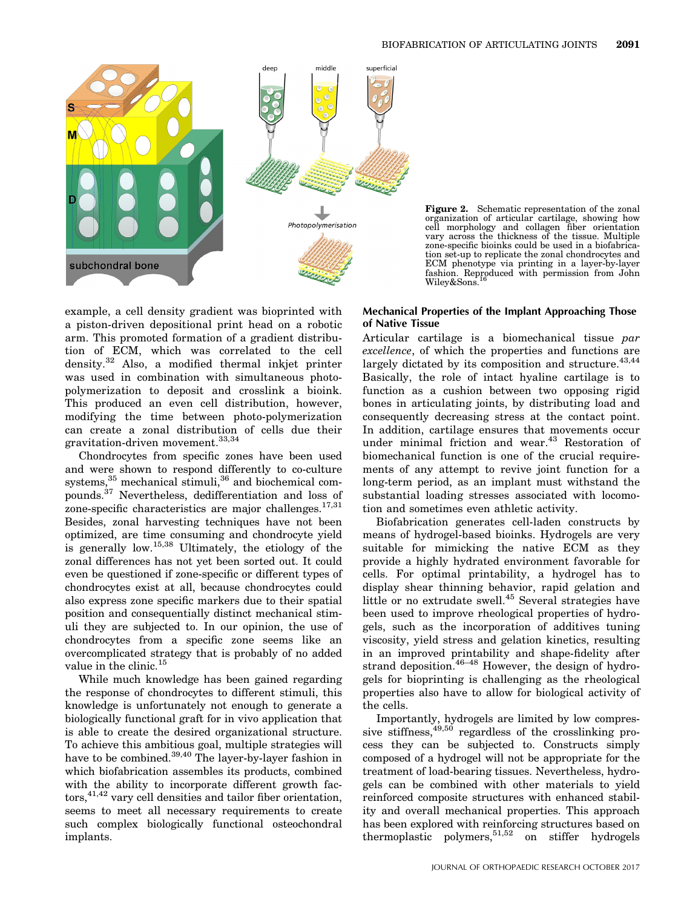

**Figure 2.** Schematic representation of the zonal organization of articular cartilage, showing how cell morphology and collagen fiber orientation vary across the thickness of the tissue. Multiple zone-specific bioinks coul tion set-up to replicate the zonal chondrocytes and ECM phenotype via printing in a layer-by-layer fashion. Reproduced with permission from John Wiley&Sons.

example, a cell density gradient was bioprinted with a piston-driven depositional print head on a robotic arm. This promoted formation of a gradient distribution of ECM, which was correlated to the cell density. $32$  Also, a modified thermal inkjet printer was used in combination with simultaneous photopolymerization to deposit and crosslink a bioink. This produced an even cell distribution, however, modifying the time between photo-polymerization can create a zonal distribution of cells due their gravitation-driven movement.33,34

Chondrocytes from specific zones have been used and were shown to respond differently to co-culture systems, $35$  mechanical stimuli, $36$  and biochemical compounds. $37$  Nevertheless, dedifferentiation and loss of zone-specific characteristics are major challenges.<sup>17,31</sup> Besides, zonal harvesting techniques have not been optimized, are time consuming and chondrocyte yield is generally low.15,38 Ultimately, the etiology of the zonal differences has not yet been sorted out. It could even be questioned if zone-specific or different types of chondrocytes exist at all, because chondrocytes could also express zone specific markers due to their spatial position and consequentially distinct mechanical stimuli they are subjected to. In our opinion, the use of chondrocytes from a specific zone seems like an overcomplicated strategy that is probably of no added value in the clinic.<sup>15</sup>

While much knowledge has been gained regarding the response of chondrocytes to different stimuli, this knowledge is unfortunately not enough to generate a biologically functional graft for in vivo application that is able to create the desired organizational structure. To achieve this ambitious goal, multiple strategies will have to be combined.<sup>39,40</sup> The layer-by-layer fashion in which biofabrication assembles its products, combined with the ability to incorporate different growth fac $tors, <sup>41,42</sup>$  vary cell densities and tailor fiber orientation, seems to meet all necessary requirements to create such complex biologically functional osteochondral implants.

# Mechanical Properties of the Implant Approaching Those of Native Tissue

Articular cartilage is a biomechanical tissue par excellence, of which the properties and functions are largely dictated by its composition and structure. $43,44$ Basically, the role of intact hyaline cartilage is to function as a cushion between two opposing rigid bones in articulating joints, by distributing load and consequently decreasing stress at the contact point. In addition, cartilage ensures that movements occur under minimal friction and wear.<sup>43</sup> Restoration of biomechanical function is one of the crucial requirements of any attempt to revive joint function for a long-term period, as an implant must withstand the substantial loading stresses associated with locomotion and sometimes even athletic activity.

Biofabrication generates cell-laden constructs by means of hydrogel-based bioinks. Hydrogels are very suitable for mimicking the native ECM as they provide a highly hydrated environment favorable for cells. For optimal printability, a hydrogel has to display shear thinning behavior, rapid gelation and little or no extrudate swell.<sup>45</sup> Several strategies have been used to improve rheological properties of hydrogels, such as the incorporation of additives tuning viscosity, yield stress and gelation kinetics, resulting in an improved printability and shape-fidelity after strand deposition.<sup>46-48</sup> However, the design of hydrogels for bioprinting is challenging as the rheological properties also have to allow for biological activity of the cells.

Importantly, hydrogels are limited by low compressive stiffness,  $49,50$  regardless of the crosslinking process they can be subjected to. Constructs simply composed of a hydrogel will not be appropriate for the treatment of load-bearing tissues. Nevertheless, hydrogels can be combined with other materials to yield reinforced composite structures with enhanced stability and overall mechanical properties. This approach has been explored with reinforcing structures based on thermoplastic polymers,  $5^{1,52}$  on stiffer hydrogels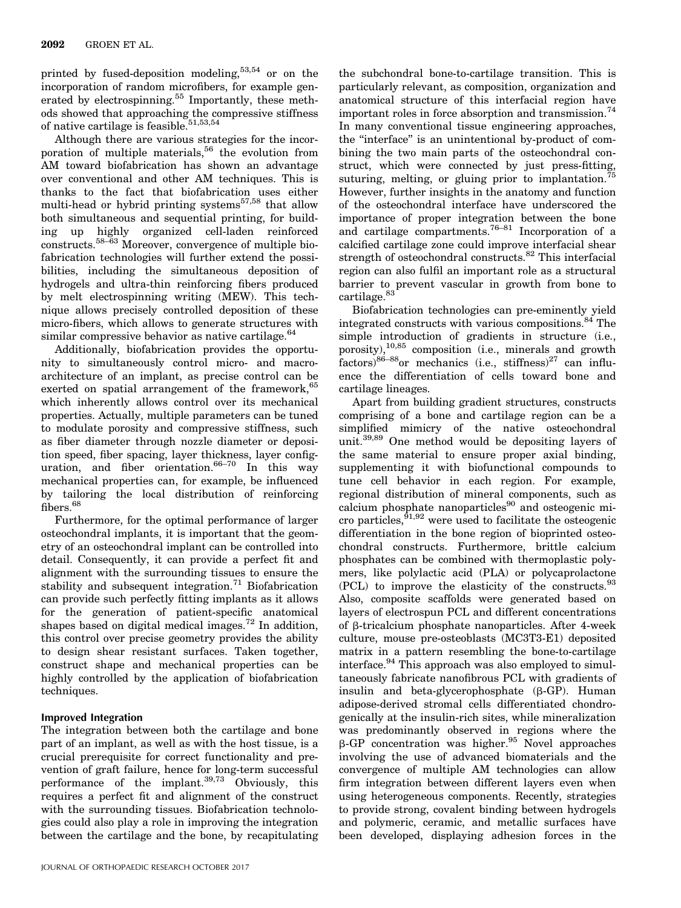printed by fused-deposition modeling,53,54 or on the incorporation of random microfibers, for example generated by electrospinning.<sup>55</sup> Importantly, these methods showed that approaching the compressive stiffness of native cartilage is feasible.<sup>51,53,54</sup>

Although there are various strategies for the incorporation of multiple materials,  $56$  the evolution from AM toward biofabrication has shown an advantage over conventional and other AM techniques. This is thanks to the fact that biofabrication uses either multi-head or hybrid printing systems<sup>57,58</sup> that allow both simultaneous and sequential printing, for building up highly organized cell-laden reinforced constructs.58–63 Moreover, convergence of multiple biofabrication technologies will further extend the possibilities, including the simultaneous deposition of hydrogels and ultra-thin reinforcing fibers produced by melt electrospinning writing (MEW). This technique allows precisely controlled deposition of these micro-fibers, which allows to generate structures with similar compressive behavior as native cartilage.<sup>64</sup>

Additionally, biofabrication provides the opportunity to simultaneously control micro- and macroarchitecture of an implant, as precise control can be exerted on spatial arrangement of the framework, <sup>65</sup> which inherently allows control over its mechanical properties. Actually, multiple parameters can be tuned to modulate porosity and compressive stiffness, such as fiber diameter through nozzle diameter or deposition speed, fiber spacing, layer thickness, layer configuration, and fiber orientation.  $66-70$  In this way mechanical properties can, for example, be influenced by tailoring the local distribution of reinforcing fibers.<sup>68</sup>

Furthermore, for the optimal performance of larger osteochondral implants, it is important that the geometry of an osteochondral implant can be controlled into detail. Consequently, it can provide a perfect fit and alignment with the surrounding tissues to ensure the stability and subsequent integration.<sup>71</sup> Biofabrication can provide such perfectly fitting implants as it allows for the generation of patient-specific anatomical shapes based on digital medical images.<sup>72</sup> In addition, this control over precise geometry provides the ability to design shear resistant surfaces. Taken together, construct shape and mechanical properties can be highly controlled by the application of biofabrication techniques.

# Improved Integration

The integration between both the cartilage and bone part of an implant, as well as with the host tissue, is a crucial prerequisite for correct functionality and prevention of graft failure, hence for long-term successful performance of the implant. $39,73$  Obviously, this requires a perfect fit and alignment of the construct with the surrounding tissues. Biofabrication technologies could also play a role in improving the integration between the cartilage and the bone, by recapitulating the subchondral bone-to-cartilage transition. This is particularly relevant, as composition, organization and anatomical structure of this interfacial region have important roles in force absorption and transmission.<sup>74</sup> In many conventional tissue engineering approaches, the "interface" is an unintentional by-product of combining the two main parts of the osteochondral construct, which were connected by just press-fitting, suturing, melting, or gluing prior to implantation.<sup>75</sup> However, further insights in the anatomy and function of the osteochondral interface have underscored the importance of proper integration between the bone and cartilage compartments.<sup>76–81</sup> Incorporation of a calcified cartilage zone could improve interfacial shear strength of osteochondral constructs.<sup>82</sup> This interfacial region can also fulfil an important role as a structural barrier to prevent vascular in growth from bone to cartilage.<sup>83</sup>

Biofabrication technologies can pre-eminently yield integrated constructs with various compositions.<sup>84</sup> The simple introduction of gradients in structure (i.e., porosity), $10,85$  composition (i.e., minerals and growth  $factors$ <sup>86–88</sup>or mechanics (i.e., stiffness)<sup>27</sup> can influence the differentiation of cells toward bone and cartilage lineages.

Apart from building gradient structures, constructs comprising of a bone and cartilage region can be a simplified mimicry of the native osteochondral unit.39,89 One method would be depositing layers of the same material to ensure proper axial binding, supplementing it with biofunctional compounds to tune cell behavior in each region. For example, regional distribution of mineral components, such as calcium phosphate nanoparticles $90$  and osteogenic micro particles,  $9^{1,92}$  were used to facilitate the osteogenic differentiation in the bone region of bioprinted osteochondral constructs. Furthermore, brittle calcium phosphates can be combined with thermoplastic polymers, like polylactic acid (PLA) or polycaprolactone (PCL) to improve the elasticity of the constructs.<sup>93</sup> Also, composite scaffolds were generated based on layers of electrospun PCL and different concentrations of b-tricalcium phosphate nanoparticles. After 4-week culture, mouse pre-osteoblasts (MC3T3-E1) deposited matrix in a pattern resembling the bone-to-cartilage interface.<sup>94</sup> This approach was also employed to simultaneously fabricate nanofibrous PCL with gradients of insulin and beta-glycerophosphate  $(\beta-\text{GP})$ . Human adipose-derived stromal cells differentiated chondrogenically at the insulin-rich sites, while mineralization was predominantly observed in regions where the  $\beta$ -GP concentration was higher.<sup>95</sup> Novel approaches involving the use of advanced biomaterials and the convergence of multiple AM technologies can allow firm integration between different layers even when using heterogeneous components. Recently, strategies to provide strong, covalent binding between hydrogels and polymeric, ceramic, and metallic surfaces have been developed, displaying adhesion forces in the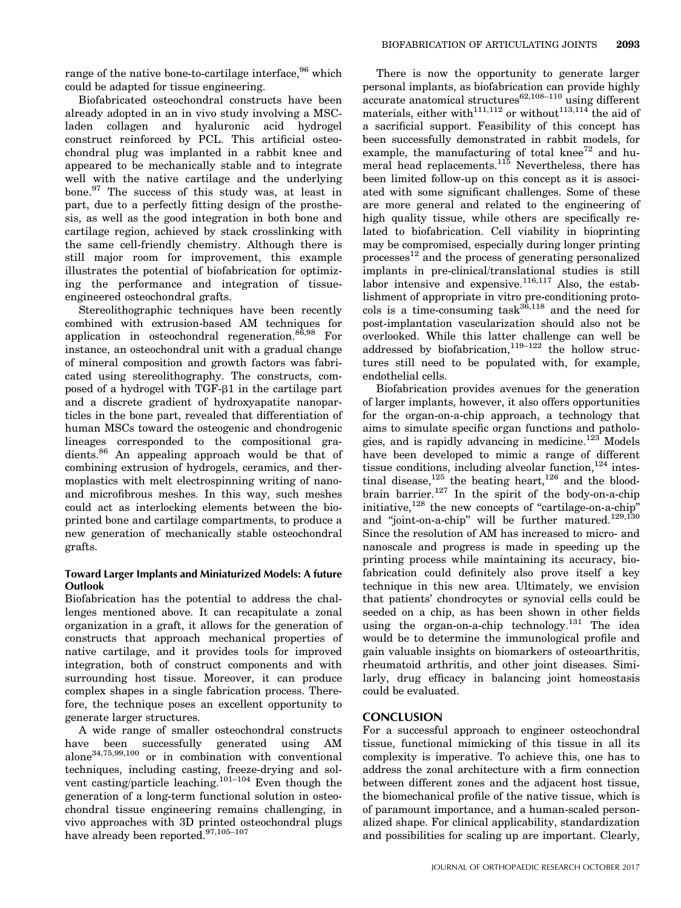range of the native bone-to-cartilage interface, <sup>96</sup> which could be adapted for tissue engineering.

Biofabricated osteochondral constructs have been already adopted in an in vivo study involving a MSCladen collagen and hyaluronic acid hydrogel construct reinforced by PCL. This artificial osteochondral plug was implanted in a rabbit knee and appeared to be mechanically stable and to integrate well with the native cartilage and the underlying bone.<sup>97</sup> The success of this study was, at least in part, due to a perfectly fitting design of the prosthesis, as well as the good integration in both bone and cartilage region, achieved by stack crosslinking with the same cell-friendly chemistry. Although there is still major room for improvement, this example illustrates the potential of biofabrication for optimizing the performance and integration of tissueengineered osteochondral grafts.

Stereolithographic techniques have been recently combined with extrusion-based AM techniques for application in osteochondral regeneration.<sup>86,98</sup> For instance, an osteochondral unit with a gradual change of mineral composition and growth factors was fabricated using stereolithography. The constructs, composed of a hydrogel with  $TGF- $\beta$ 1$  in the cartilage part and a discrete gradient of hydroxyapatite nanoparticles in the bone part, revealed that differentiation of human MSCs toward the osteogenic and chondrogenic lineages corresponded to the compositional gradients.<sup>86</sup> An appealing approach would be that of combining extrusion of hydrogels, ceramics, and thermoplastics with melt electrospinning writing of nanoand microfibrous meshes. In this way, such meshes could act as interlocking elements between the bioprinted bone and cartilage compartments, to produce a new generation of mechanically stable osteochondral grafts.

### Toward Larger Implants and Miniaturized Models: A future **Outlook**

Biofabrication has the potential to address the challenges mentioned above. It can recapitulate a zonal organization in a graft, it allows for the generation of constructs that approach mechanical properties of native cartilage, and it provides tools for improved integration, both of construct components and with surrounding host tissue. Moreover, it can produce complex shapes in a single fabrication process. Therefore, the technique poses an excellent opportunity to generate larger structures.

A wide range of smaller osteochondral constructs have been successfully generated using AM alone34,75,99,100 or in combination with conventional techniques, including casting, freeze-drying and solvent casting/particle leaching.101–104 Even though the generation of a long-term functional solution in osteochondral tissue engineering remains challenging, in vivo approaches with 3D printed osteochondral plugs have already been reported.  $^{97,105-107}\,$ 

There is now the opportunity to generate larger personal implants, as biofabrication can provide highly  $\alpha$  accurate anatomical structures<sup>62,108–110</sup> using different materials, either with<sup>111,112</sup> or without<sup>113,114</sup> the aid of a sacrificial support. Feasibility of this concept has been successfully demonstrated in rabbit models, for example, the manufacturing of total knee $^{72}$  and humeral head replacements.<sup>115</sup> Nevertheless, there has been limited follow-up on this concept as it is associated with some significant challenges. Some of these are more general and related to the engineering of high quality tissue, while others are specifically related to biofabrication. Cell viability in bioprinting may be compromised, especially during longer printing  $processes<sup>12</sup>$  and the process of generating personalized implants in pre-clinical/translational studies is still labor intensive and expensive. $116,117$  Also, the establishment of appropriate in vitro pre-conditioning protocols is a time-consuming task $36,118$  and the need for post-implantation vascularization should also not be overlooked. While this latter challenge can well be addressed by biofabrication,  $119-122$  the hollow structures still need to be populated with, for example, endothelial cells.

Biofabrication provides avenues for the generation of larger implants, however, it also offers opportunities for the organ-on-a-chip approach, a technology that aims to simulate specific organ functions and pathologies, and is rapidly advancing in medicine.<sup>123</sup> Models have been developed to mimic a range of different tissue conditions, including alveolar function,  $124$  intestinal disease,  $125$  the beating heart,  $126$  and the bloodbrain barrier.<sup>127</sup> In the spirit of the body-on-a-chip initiative,  $128$  the new concepts of "cartilage-on-a-chip" and "joint-on-a-chip" will be further matured.<sup>129,130</sup> Since the resolution of AM has increased to micro- and nanoscale and progress is made in speeding up the printing process while maintaining its accuracy, biofabrication could definitely also prove itself a key technique in this new area. Ultimately, we envision that patients' chondrocytes or synovial cells could be seeded on a chip, as has been shown in other fields using the organ-on-a-chip technology.<sup>131</sup> The idea would be to determine the immunological profile and gain valuable insights on biomarkers of osteoarthritis, rheumatoid arthritis, and other joint diseases. Similarly, drug efficacy in balancing joint homeostasis could be evaluated.

# **CONCLUSION**

For a successful approach to engineer osteochondral tissue, functional mimicking of this tissue in all its complexity is imperative. To achieve this, one has to address the zonal architecture with a firm connection between different zones and the adjacent host tissue, the biomechanical profile of the native tissue, which is of paramount importance, and a human-scaled personalized shape. For clinical applicability, standardization and possibilities for scaling up are important. Clearly,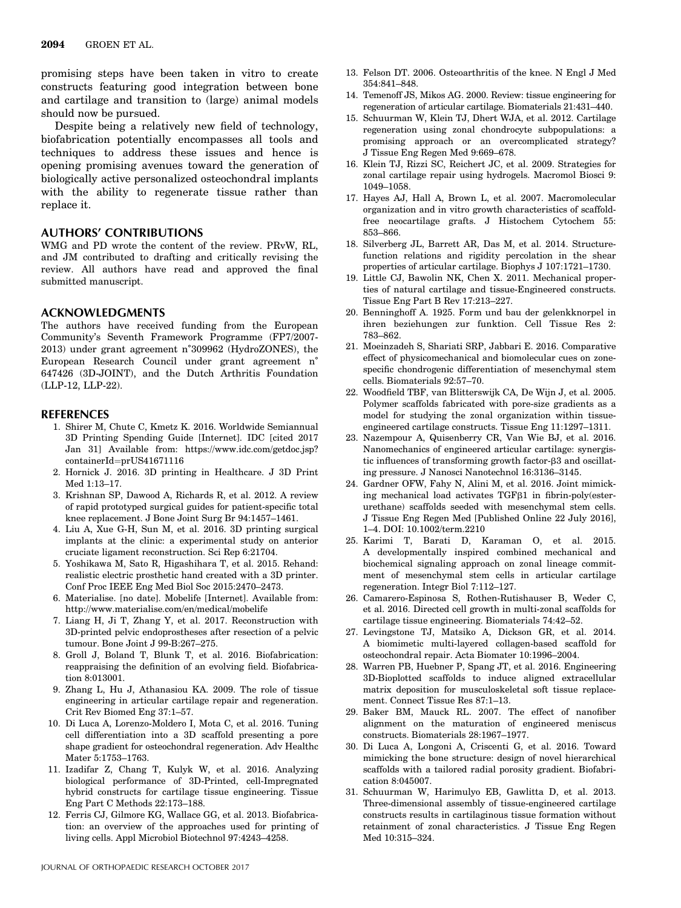promising steps have been taken in vitro to create constructs featuring good integration between bone and cartilage and transition to (large) animal models should now be pursued.

Despite being a relatively new field of technology, biofabrication potentially encompasses all tools and techniques to address these issues and hence is opening promising avenues toward the generation of biologically active personalized osteochondral implants with the ability to regenerate tissue rather than replace it.

#### AUTHORS' CONTRIBUTIONS

WMG and PD wrote the content of the review. PRvW, RL, and JM contributed to drafting and critically revising the review. All authors have read and approved the final submitted manuscript.

#### ACKNOWLEDGMENTS

The authors have received funding from the European Community's Seventh Framework Programme (FP7/2007- 2013) under grant agreement n˚309962 (HydroZONES), the European Research Council under grant agreement n˚ 647426 (3D-JOINT), and the Dutch Arthritis Foundation (LLP-12, LLP-22).

#### REFERENCES

- 1. Shirer M, Chute C, Kmetz K. 2016. Worldwide Semiannual 3D Printing Spending Guide [Internet]. IDC [cited 2017 Jan 31] Available from: [https://www.idc.com/getdoc.jsp?](https://www.idc.com/getdoc.jsp?containerId=prUS41671116) containerId=[prUS41671116](https://www.idc.com/getdoc.jsp?containerId=prUS41671116)
- 2. Hornick J. 2016. 3D printing in Healthcare. J 3D Print Med 1:13–17.
- 3. Krishnan SP, Dawood A, Richards R, et al. 2012. A review of rapid prototyped surgical guides for patient-specific total knee replacement. J Bone Joint Surg Br 94:1457–1461.
- 4. Liu A, Xue G-H, Sun M, et al. 2016. 3D printing surgical implants at the clinic: a experimental study on anterior cruciate ligament reconstruction. Sci Rep 6:21704.
- 5. Yoshikawa M, Sato R, Higashihara T, et al. 2015. Rehand: realistic electric prosthetic hand created with a 3D printer. Conf Proc IEEE Eng Med Biol Soc 2015:2470–2473.
- 6. Materialise. [no date]. Mobelife [Internet]. Available from: <http://www.materialise.com/en/medical/mobelife>
- 7. Liang H, Ji T, Zhang Y, et al. 2017. Reconstruction with 3D-printed pelvic endoprostheses after resection of a pelvic tumour. Bone Joint J 99-B:267–275.
- 8. Groll J, Boland T, Blunk T, et al. 2016. Biofabrication: reappraising the definition of an evolving field. Biofabrication 8:013001.
- 9. Zhang L, Hu J, Athanasiou KA. 2009. The role of tissue engineering in articular cartilage repair and regeneration. Crit Rev Biomed Eng 37:1–57.
- 10. Di Luca A, Lorenzo-Moldero I, Mota C, et al. 2016. Tuning cell differentiation into a 3D scaffold presenting a pore shape gradient for osteochondral regeneration. Adv Healthc Mater 5:1753–1763.
- 11. Izadifar Z, Chang T, Kulyk W, et al. 2016. Analyzing biological performance of 3D-Printed, cell-Impregnated hybrid constructs for cartilage tissue engineering. Tissue Eng Part C Methods 22:173–188.
- 12. Ferris CJ, Gilmore KG, Wallace GG, et al. 2013. Biofabrication: an overview of the approaches used for printing of living cells. Appl Microbiol Biotechnol 97:4243–4258.
- 13. Felson DT. 2006. Osteoarthritis of the knee. N Engl J Med 354:841–848.
- 14. Temenoff JS, Mikos AG. 2000. Review: tissue engineering for regeneration of articular cartilage. Biomaterials 21:431–440.
- 15. Schuurman W, Klein TJ, Dhert WJA, et al. 2012. Cartilage regeneration using zonal chondrocyte subpopulations: a promising approach or an overcomplicated strategy? J Tissue Eng Regen Med 9:669–678.
- 16. Klein TJ, Rizzi SC, Reichert JC, et al. 2009. Strategies for zonal cartilage repair using hydrogels. Macromol Biosci 9: 1049–1058.
- 17. Hayes AJ, Hall A, Brown L, et al. 2007. Macromolecular organization and in vitro growth characteristics of scaffoldfree neocartilage grafts. J Histochem Cytochem 55: 853–866.
- 18. Silverberg JL, Barrett AR, Das M, et al. 2014. Structurefunction relations and rigidity percolation in the shear properties of articular cartilage. Biophys J 107:1721–1730.
- 19. Little CJ, Bawolin NK, Chen X. 2011. Mechanical properties of natural cartilage and tissue-Engineered constructs. Tissue Eng Part B Rev 17:213–227.
- 20. Benninghoff A. 1925. Form und bau der gelenkknorpel in ihren beziehungen zur funktion. Cell Tissue Res 2: 783–862.
- 21. Moeinzadeh S, Shariati SRP, Jabbari E. 2016. Comparative effect of physicomechanical and biomolecular cues on zonespecific chondrogenic differentiation of mesenchymal stem cells. Biomaterials 92:57–70.
- 22. Woodfield TBF, van Blitterswijk CA, De Wijn J, et al. 2005. Polymer scaffolds fabricated with pore-size gradients as a model for studying the zonal organization within tissueengineered cartilage constructs. Tissue Eng 11:1297–1311.
- 23. Nazempour A, Quisenberry CR, Van Wie BJ, et al. 2016. Nanomechanics of engineered articular cartilage: synergistic influences of transforming growth factor- $\beta$ 3 and oscillating pressure. J Nanosci Nanotechnol 16:3136–3145.
- 24. Gardner OFW, Fahy N, Alini M, et al. 2016. Joint mimicking mechanical load activates  $TGF\beta1$  in fibrin-poly(esterurethane) scaffolds seeded with mesenchymal stem cells. J Tissue Eng Regen Med [Published Online 22 July 2016], 1–4. DOI: 10.1002/term.2210
- 25. Karimi T, Barati D, Karaman O, et al. 2015. A developmentally inspired combined mechanical and biochemical signaling approach on zonal lineage commitment of mesenchymal stem cells in articular cartilage regeneration. Integr Biol 7:112–127.
- 26. Camarero-Espinosa S, Rothen-Rutishauser B, Weder C, et al. 2016. Directed cell growth in multi-zonal scaffolds for cartilage tissue engineering. Biomaterials 74:42–52.
- 27. Levingstone TJ, Matsiko A, Dickson GR, et al. 2014. A biomimetic multi-layered collagen-based scaffold for osteochondral repair. Acta Biomater 10:1996–2004.
- 28. Warren PB, Huebner P, Spang JT, et al. 2016. Engineering 3D-Bioplotted scaffolds to induce aligned extracellular matrix deposition for musculoskeletal soft tissue replacement. Connect Tissue Res 87:1–13.
- 29. Baker BM, Mauck RL. 2007. The effect of nanofiber alignment on the maturation of engineered meniscus constructs. Biomaterials 28:1967–1977.
- 30. Di Luca A, Longoni A, Criscenti G, et al. 2016. Toward mimicking the bone structure: design of novel hierarchical scaffolds with a tailored radial porosity gradient. Biofabrication 8:045007.
- 31. Schuurman W, Harimulyo EB, Gawlitta D, et al. 2013. Three-dimensional assembly of tissue-engineered cartilage constructs results in cartilaginous tissue formation without retainment of zonal characteristics. J Tissue Eng Regen Med 10:315–324.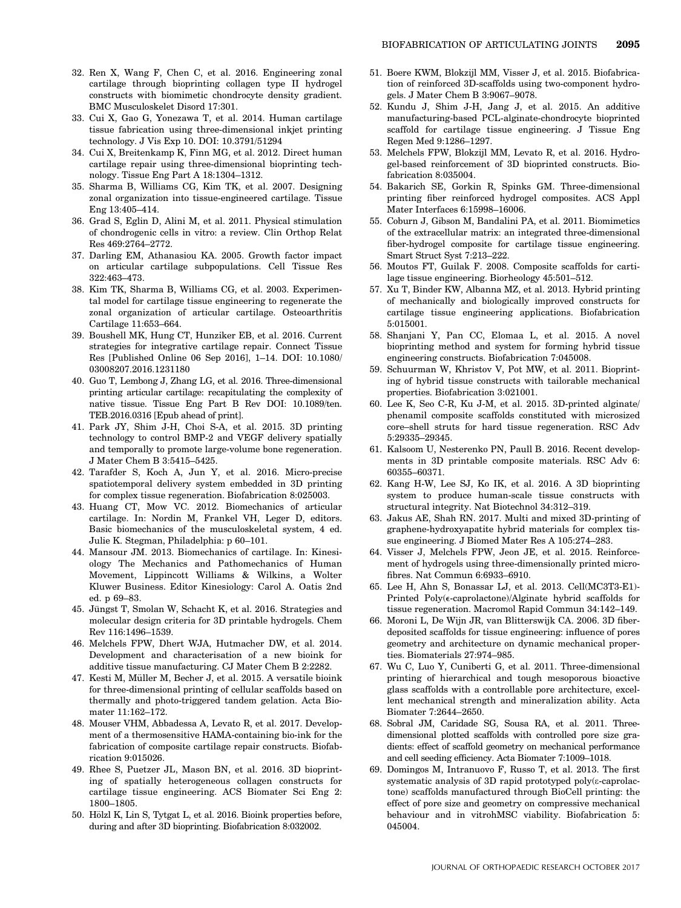- 32. Ren X, Wang F, Chen C, et al. 2016. Engineering zonal cartilage through bioprinting collagen type II hydrogel constructs with biomimetic chondrocyte density gradient. BMC Musculoskelet Disord 17:301.
- 33. Cui X, Gao G, Yonezawa T, et al. 2014. Human cartilage tissue fabrication using three-dimensional inkjet printing technology. J Vis Exp 10. DOI: 10.3791/51294
- 34. Cui X, Breitenkamp K, Finn MG, et al. 2012. Direct human cartilage repair using three-dimensional bioprinting technology. Tissue Eng Part A 18:1304–1312.
- 35. Sharma B, Williams CG, Kim TK, et al. 2007. Designing zonal organization into tissue-engineered cartilage. Tissue Eng 13:405–414.
- 36. Grad S, Eglin D, Alini M, et al. 2011. Physical stimulation of chondrogenic cells in vitro: a review. Clin Orthop Relat Res 469:2764–2772.
- 37. Darling EM, Athanasiou KA. 2005. Growth factor impact on articular cartilage subpopulations. Cell Tissue Res 322:463–473.
- 38. Kim TK, Sharma B, Williams CG, et al. 2003. Experimental model for cartilage tissue engineering to regenerate the zonal organization of articular cartilage. Osteoarthritis Cartilage 11:653–664.
- 39. Boushell MK, Hung CT, Hunziker EB, et al. 2016. Current strategies for integrative cartilage repair. Connect Tissue Res [Published Online 06 Sep 2016], 1–14. DOI: 10.1080/ 03008207.2016.1231180
- 40. Guo T, Lembong J, Zhang LG, et al. 2016. Three-dimensional printing articular cartilage: recapitulating the complexity of native tissue. Tissue Eng Part B Rev DOI: 10.1089/ten. TEB.2016.0316 [Epub ahead of print].
- 41. Park JY, Shim J-H, Choi S-A, et al. 2015. 3D printing technology to control BMP-2 and VEGF delivery spatially and temporally to promote large-volume bone regeneration. J Mater Chem B 3:5415–5425.
- 42. Tarafder S, Koch A, Jun Y, et al. 2016. Micro-precise spatiotemporal delivery system embedded in 3D printing for complex tissue regeneration. Biofabrication 8:025003.
- 43. Huang CT, Mow VC. 2012. Biomechanics of articular cartilage. In: Nordin M, Frankel VH, Leger D, editors. Basic biomechanics of the musculoskeletal system, 4 ed. Julie K. Stegman, Philadelphia: p 60–101.
- 44. Mansour JM. 2013. Biomechanics of cartilage. In: Kinesiology The Mechanics and Pathomechanics of Human Movement, Lippincott Williams & Wilkins, a Wolter Kluwer Business. Editor Kinesiology: Carol A. Oatis 2nd ed. p 69–83.
- 45. Jüngst T, Smolan W, Schacht K, et al. 2016. Strategies and molecular design criteria for 3D printable hydrogels. Chem Rev 116:1496–1539.
- 46. Melchels FPW, Dhert WJA, Hutmacher DW, et al. 2014. Development and characterisation of a new bioink for additive tissue manufacturing. CJ Mater Chem B 2:2282.
- 47. Kesti M, Müller M, Becher J, et al. 2015. A versatile bioink for three-dimensional printing of cellular scaffolds based on thermally and photo-triggered tandem gelation. Acta Biomater 11:162–172.
- 48. Mouser VHM, Abbadessa A, Levato R, et al. 2017. Development of a thermosensitive HAMA-containing bio-ink for the fabrication of composite cartilage repair constructs. Biofabrication 9:015026.
- 49. Rhee S, Puetzer JL, Mason BN, et al. 2016. 3D bioprinting of spatially heterogeneous collagen constructs for cartilage tissue engineering. ACS Biomater Sci Eng 2: 1800–1805.
- 50. Hölzl K, Lin S, Tytgat L, et al. 2016. Bioink properties before, during and after 3D bioprinting. Biofabrication 8:032002.
- 51. Boere KWM, Blokzijl MM, Visser J, et al. 2015. Biofabrication of reinforced 3D-scaffolds using two-component hydrogels. J Mater Chem B 3:9067–9078.
- 52. Kundu J, Shim J-H, Jang J, et al. 2015. An additive manufacturing-based PCL-alginate-chondrocyte bioprinted scaffold for cartilage tissue engineering. J Tissue Eng Regen Med 9:1286–1297.
- 53. Melchels FPW, Blokzijl MM, Levato R, et al. 2016. Hydrogel-based reinforcement of 3D bioprinted constructs. Biofabrication 8:035004.
- 54. Bakarich SE, Gorkin R, Spinks GM. Three-dimensional printing fiber reinforced hydrogel composites. ACS Appl Mater Interfaces 6:15998–16006.
- 55. Coburn J, Gibson M, Bandalini PA, et al. 2011. Biomimetics of the extracellular matrix: an integrated three-dimensional fiber-hydrogel composite for cartilage tissue engineering. Smart Struct Syst 7:213–222.
- 56. Moutos FT, Guilak F. 2008. Composite scaffolds for cartilage tissue engineering. Biorheology 45:501–512.
- 57. Xu T, Binder KW, Albanna MZ, et al. 2013. Hybrid printing of mechanically and biologically improved constructs for cartilage tissue engineering applications. Biofabrication 5:015001.
- 58. Shanjani Y, Pan CC, Elomaa L, et al. 2015. A novel bioprinting method and system for forming hybrid tissue engineering constructs. Biofabrication 7:045008.
- 59. Schuurman W, Khristov V, Pot MW, et al. 2011. Bioprinting of hybrid tissue constructs with tailorable mechanical properties. Biofabrication 3:021001.
- 60. Lee K, Seo C-R, Ku J-M, et al. 2015. 3D-printed alginate/ phenamil composite scaffolds constituted with microsized core–shell struts for hard tissue regeneration. RSC Adv 5:29335–29345.
- 61. Kalsoom U, Nesterenko PN, Paull B. 2016. Recent developments in 3D printable composite materials. RSC Adv 6: 60355–60371.
- 62. Kang H-W, Lee SJ, Ko IK, et al. 2016. A 3D bioprinting system to produce human-scale tissue constructs with structural integrity. Nat Biotechnol 34:312–319.
- 63. Jakus AE, Shah RN. 2017. Multi and mixed 3D-printing of graphene-hydroxyapatite hybrid materials for complex tissue engineering. J Biomed Mater Res A 105:274–283.
- 64. Visser J, Melchels FPW, Jeon JE, et al. 2015. Reinforcement of hydrogels using three-dimensionally printed microfibres. Nat Commun 6:6933–6910.
- 65. Lee H, Ahn S, Bonassar LJ, et al. 2013. Cell(MC3T3-E1)- Printed Poly(e-caprolactone)/Alginate hybrid scaffolds for tissue regeneration. Macromol Rapid Commun 34:142–149.
- 66. Moroni L, De Wijn JR, van Blitterswijk CA. 2006. 3D fiberdeposited scaffolds for tissue engineering: influence of pores geometry and architecture on dynamic mechanical properties. Biomaterials 27:974–985.
- 67. Wu C, Luo Y, Cuniberti G, et al. 2011. Three-dimensional printing of hierarchical and tough mesoporous bioactive glass scaffolds with a controllable pore architecture, excellent mechanical strength and mineralization ability. Acta Biomater 7:2644–2650.
- 68. Sobral JM, Caridade SG, Sousa RA, et al. 2011. Threedimensional plotted scaffolds with controlled pore size gradients: effect of scaffold geometry on mechanical performance and cell seeding efficiency. Acta Biomater 7:1009–1018.
- 69. Domingos M, Intranuovo F, Russo T, et al. 2013. The first systematic analysis of 3D rapid prototyped poly(e-caprolactone) scaffolds manufactured through BioCell printing: the effect of pore size and geometry on compressive mechanical behaviour and in vitrohMSC viability. Biofabrication 5: 045004.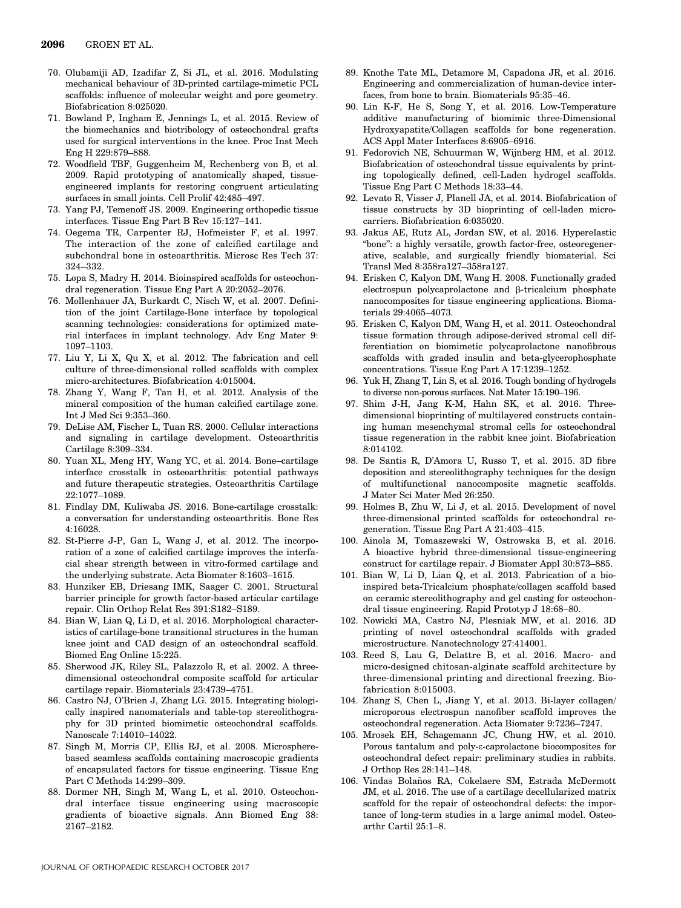- 70. Olubamiji AD, Izadifar Z, Si JL, et al. 2016. Modulating mechanical behaviour of 3D-printed cartilage-mimetic PCL scaffolds: influence of molecular weight and pore geometry. Biofabrication 8:025020.
- 71. Bowland P, Ingham E, Jennings L, et al. 2015. Review of the biomechanics and biotribology of osteochondral grafts used for surgical interventions in the knee. Proc Inst Mech Eng H 229:879–888.
- 72. Woodfield TBF, Guggenheim M, Rechenberg von B, et al. 2009. Rapid prototyping of anatomically shaped, tissueengineered implants for restoring congruent articulating surfaces in small joints. Cell Prolif 42:485–497.
- 73. Yang PJ, Temenoff JS. 2009. Engineering orthopedic tissue interfaces. Tissue Eng Part B Rev 15:127–141.
- 74. Oegema TR, Carpenter RJ, Hofmeister F, et al. 1997. The interaction of the zone of calcified cartilage and subchondral bone in osteoarthritis. Microsc Res Tech 37: 324–332.
- 75. Lopa S, Madry H. 2014. Bioinspired scaffolds for osteochondral regeneration. Tissue Eng Part A 20:2052–2076.
- 76. Mollenhauer JA, Burkardt C, Nisch W, et al. 2007. Definition of the joint Cartilage-Bone interface by topological scanning technologies: considerations for optimized material interfaces in implant technology. Adv Eng Mater 9: 1097–1103.
- 77. Liu Y, Li X, Qu X, et al. 2012. The fabrication and cell culture of three-dimensional rolled scaffolds with complex micro-architectures. Biofabrication 4:015004.
- 78. Zhang Y, Wang F, Tan H, et al. 2012. Analysis of the mineral composition of the human calcified cartilage zone. Int J Med Sci 9:353–360.
- 79. DeLise AM, Fischer L, Tuan RS. 2000. Cellular interactions and signaling in cartilage development. Osteoarthritis Cartilage 8:309–334.
- 80. Yuan XL, Meng HY, Wang YC, et al. 2014. Bone–cartilage interface crosstalk in osteoarthritis: potential pathways and future therapeutic strategies. Osteoarthritis Cartilage 22:1077–1089.
- 81. Findlay DM, Kuliwaba JS. 2016. Bone-cartilage crosstalk: a conversation for understanding osteoarthritis. Bone Res 4:16028.
- 82. St-Pierre J-P, Gan L, Wang J, et al. 2012. The incorporation of a zone of calcified cartilage improves the interfacial shear strength between in vitro-formed cartilage and the underlying substrate. Acta Biomater 8:1603–1615.
- 83. Hunziker EB, Driesang IMK, Saager C. 2001. Structural barrier principle for growth factor-based articular cartilage repair. Clin Orthop Relat Res 391:S182–S189.
- 84. Bian W, Lian Q, Li D, et al. 2016. Morphological characteristics of cartilage-bone transitional structures in the human knee joint and CAD design of an osteochondral scaffold. Biomed Eng Online 15:225.
- 85. Sherwood JK, Riley SL, Palazzolo R, et al. 2002. A threedimensional osteochondral composite scaffold for articular cartilage repair. Biomaterials 23:4739–4751.
- 86. Castro NJ, O'Brien J, Zhang LG. 2015. Integrating biologically inspired nanomaterials and table-top stereolithography for 3D printed biomimetic osteochondral scaffolds. Nanoscale 7:14010–14022.
- 87. Singh M, Morris CP, Ellis RJ, et al. 2008. Microspherebased seamless scaffolds containing macroscopic gradients of encapsulated factors for tissue engineering. Tissue Eng Part C Methods 14:299–309.
- 88. Dormer NH, Singh M, Wang L, et al. 2010. Osteochondral interface tissue engineering using macroscopic gradients of bioactive signals. Ann Biomed Eng 38: 2167–2182.
- 89. Knothe Tate ML, Detamore M, Capadona JR, et al. 2016. Engineering and commercialization of human-device interfaces, from bone to brain. Biomaterials 95:35–46.
- 90. Lin K-F, He S, Song Y, et al. 2016. Low-Temperature additive manufacturing of biomimic three-Dimensional Hydroxyapatite/Collagen scaffolds for bone regeneration. ACS Appl Mater Interfaces 8:6905–6916.
- 91. Fedorovich NE, Schuurman W, Wijnberg HM, et al. 2012. Biofabrication of osteochondral tissue equivalents by printing topologically defined, cell-Laden hydrogel scaffolds. Tissue Eng Part C Methods 18:33–44.
- 92. Levato R, Visser J, Planell JA, et al. 2014. Biofabrication of tissue constructs by 3D bioprinting of cell-laden microcarriers. Biofabrication 6:035020.
- 93. Jakus AE, Rutz AL, Jordan SW, et al. 2016. Hyperelastic "bone": a highly versatile, growth factor-free, osteoregenerative, scalable, and surgically friendly biomaterial. Sci Transl Med 8:358ra127–358ra127.
- 94. Erisken C, Kalyon DM, Wang H. 2008. Functionally graded  $electrospun$  polycaprolactone and  $\beta$ -tricalcium phosphate nanocomposites for tissue engineering applications. Biomaterials 29:4065–4073.
- 95. Erisken C, Kalyon DM, Wang H, et al. 2011. Osteochondral tissue formation through adipose-derived stromal cell differentiation on biomimetic polycaprolactone nanofibrous scaffolds with graded insulin and beta-glycerophosphate concentrations. Tissue Eng Part A 17:1239–1252.
- 96. Yuk H, Zhang T, Lin S, et al. 2016. Tough bonding of hydrogels to diverse non-porous surfaces. Nat Mater 15:190–196.
- 97. Shim J-H, Jang K-M, Hahn SK, et al. 2016. Threedimensional bioprinting of multilayered constructs containing human mesenchymal stromal cells for osteochondral tissue regeneration in the rabbit knee joint. Biofabrication 8:014102.
- 98. De Santis R, D'Amora U, Russo T, et al. 2015. 3D fibre deposition and stereolithography techniques for the design of multifunctional nanocomposite magnetic scaffolds. J Mater Sci Mater Med 26:250.
- 99. Holmes B, Zhu W, Li J, et al. 2015. Development of novel three-dimensional printed scaffolds for osteochondral regeneration. Tissue Eng Part A 21:403–415.
- 100. Ainola M, Tomaszewski W, Ostrowska B, et al. 2016. A bioactive hybrid three-dimensional tissue-engineering construct for cartilage repair. J Biomater Appl 30:873–885.
- 101. Bian W, Li D, Lian Q, et al. 2013. Fabrication of a bioinspired beta-Tricalcium phosphate/collagen scaffold based on ceramic stereolithography and gel casting for osteochondral tissue engineering. Rapid Prototyp J 18:68–80.
- 102. Nowicki MA, Castro NJ, Plesniak MW, et al. 2016. 3D printing of novel osteochondral scaffolds with graded microstructure. Nanotechnology 27:414001.
- 103. Reed S, Lau G, Delattre B, et al. 2016. Macro- and micro-designed chitosan-alginate scaffold architecture by three-dimensional printing and directional freezing. Biofabrication 8:015003.
- 104. Zhang S, Chen L, Jiang Y, et al. 2013. Bi-layer collagen/ microporous electrospun nanofiber scaffold improves the osteochondral regeneration. Acta Biomater 9:7236–7247.
- 105. Mrosek EH, Schagemann JC, Chung HW, et al. 2010. Porous tantalum and poly- $\varepsilon$ -caprolactone biocomposites for osteochondral defect repair: preliminary studies in rabbits. J Orthop Res 28:141–148.
- 106. Vindas Bolanos RA, Cokelaere SM, Estrada McDermott ~ JM, et al. 2016. The use of a cartilage decellularized matrix scaffold for the repair of osteochondral defects: the importance of long-term studies in a large animal model. Osteoarthr Cartil 25:1–8.